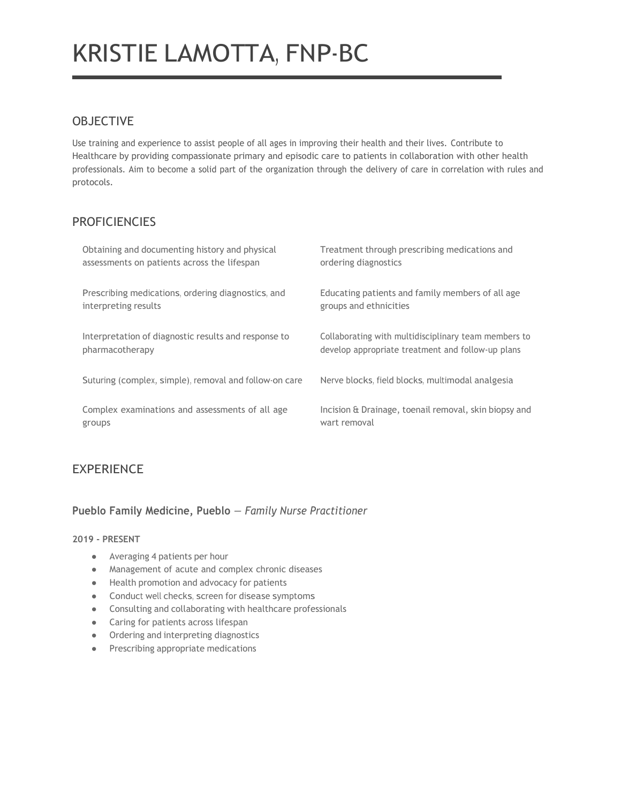# KRISTIE LAMOTTA, FNP-BC

## **OBJECTIVE**

Use training and experience to assist people of all ages in improving their health and their lives. Contribute to Healthcare by providing compassionate primary and episodic care to patients in collaboration with other health professionals. Aim to become a solid part of the organization through the delivery of care in correlation with rules and protocols.

## **PROFICIENCIES**

| Obtaining and documenting history and physical         | Treatment through prescribing medications and         |
|--------------------------------------------------------|-------------------------------------------------------|
| assessments on patients across the lifespan            | ordering diagnostics                                  |
| Prescribing medications, ordering diagnostics, and     | Educating patients and family members of all age      |
| interpreting results                                   | groups and ethnicities                                |
| Interpretation of diagnostic results and response to   | Collaborating with multidisciplinary team members to  |
| pharmacotherapy                                        | develop appropriate treatment and follow-up plans     |
| Suturing (complex, simple), removal and follow-on care | Nerve blocks, field blocks, multimodal analgesia      |
| Complex examinations and assessments of all age        | Incision & Drainage, toenail removal, skin biopsy and |
| groups                                                 | wart removal                                          |

# EXPERIENCE

#### **Pueblo Family Medicine, Pueblo** *— Family Nurse Practitioner*

#### **2019 - PRESENT**

- Averaging 4 patients per hour
- Management of acute and complex chronic diseases
- Health promotion and advocacy for patients
- Conduct well checks, screen for disease symptoms
- Consulting and collaborating with healthcare professionals
- Caring for patients across lifespan
- Ordering and interpreting diagnostics
- Prescribing appropriate medications